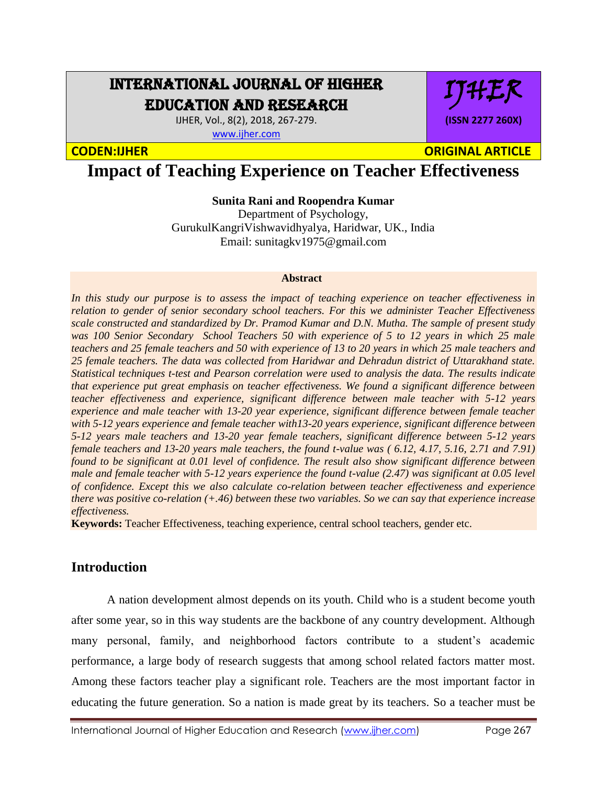# INTERNATIONAL JOURNAL OF HIGHER EDUCATION AND RESEARCH

IJHER, Vol., 8(2), 2018, 267-279. [www.ijher.com](http://www.ijher.com/)

IJHER **(ISSN 2277 260X)**

**CODEN:IJHER ORIGINAL ARTICLE** 

# **Impact of Teaching Experience on Teacher Effectiveness**

**Sunita Rani and Roopendra Kumar**

Department of Psychology, GurukulKangriVishwavidhyalya, Haridwar, UK., India Email: sunitagkv1975@gmail.com

#### **Abstract**

*In this study our purpose is to assess the impact of teaching experience on teacher effectiveness in relation to gender of senior secondary school teachers. For this we administer Teacher Effectiveness scale constructed and standardized by Dr. Pramod Kumar and D.N. Mutha. The sample of present study was 100 Senior Secondary School Teachers 50 with experience of 5 to 12 years in which 25 male teachers and 25 female teachers and 50 with experience of 13 to 20 years in which 25 male teachers and 25 female teachers. The data was collected from Haridwar and Dehradun district of Uttarakhand state. Statistical techniques t-test and Pearson correlation were used to analysis the data. The results indicate that experience put great emphasis on teacher effectiveness. We found a significant difference between teacher effectiveness and experience, significant difference between male teacher with 5-12 years experience and male teacher with 13-20 year experience, significant difference between female teacher with 5-12 years experience and female teacher with13-20 years experience, significant difference between 5-12 years male teachers and 13-20 year female teachers, significant difference between 5-12 years female teachers and 13-20 years male teachers, the found t-value was ( 6.12, 4.17, 5.16, 2.71 and 7.91) found to be significant at 0.01 level of confidence. The result also show significant difference between male and female teacher with 5-12 years experience the found t-value (2.47) was significant at 0.05 level of confidence. Except this we also calculate co-relation between teacher effectiveness and experience there was positive co-relation (+.46) between these two variables. So we can say that experience increase effectiveness.*

**Keywords:** Teacher Effectiveness, teaching experience, central school teachers, gender etc.

### **Introduction**

A nation development almost depends on its youth. Child who is a student become youth after some year, so in this way students are the backbone of any country development. Although many personal, family, and neighborhood factors contribute to a student's academic performance, a large body of research suggests that among school related factors matter most. Among these factors teacher play a significant role. Teachers are the most important factor in educating the future generation. So a nation is made great by its teachers. So a teacher must be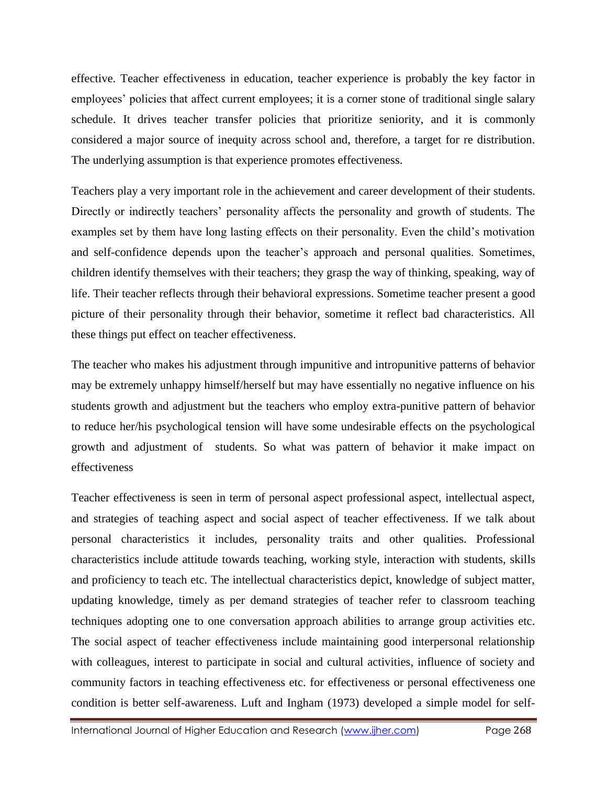effective. Teacher effectiveness in education, teacher experience is probably the key factor in employees' policies that affect current employees; it is a corner stone of traditional single salary schedule. It drives teacher transfer policies that prioritize seniority, and it is commonly considered a major source of inequity across school and, therefore, a target for re distribution. The underlying assumption is that experience promotes effectiveness.

Teachers play a very important role in the achievement and career development of their students. Directly or indirectly teachers' personality affects the personality and growth of students. The examples set by them have long lasting effects on their personality. Even the child's motivation and self-confidence depends upon the teacher's approach and personal qualities. Sometimes, children identify themselves with their teachers; they grasp the way of thinking, speaking, way of life. Their teacher reflects through their behavioral expressions. Sometime teacher present a good picture of their personality through their behavior, sometime it reflect bad characteristics. All these things put effect on teacher effectiveness.

The teacher who makes his adjustment through impunitive and intropunitive patterns of behavior may be extremely unhappy himself/herself but may have essentially no negative influence on his students growth and adjustment but the teachers who employ extra-punitive pattern of behavior to reduce her/his psychological tension will have some undesirable effects on the psychological growth and adjustment of students. So what was pattern of behavior it make impact on effectiveness

Teacher effectiveness is seen in term of personal aspect professional aspect, intellectual aspect, and strategies of teaching aspect and social aspect of teacher effectiveness. If we talk about personal characteristics it includes, personality traits and other qualities. Professional characteristics include attitude towards teaching, working style, interaction with students, skills and proficiency to teach etc. The intellectual characteristics depict, knowledge of subject matter, updating knowledge, timely as per demand strategies of teacher refer to classroom teaching techniques adopting one to one conversation approach abilities to arrange group activities etc. The social aspect of teacher effectiveness include maintaining good interpersonal relationship with colleagues, interest to participate in social and cultural activities, influence of society and community factors in teaching effectiveness etc. for effectiveness or personal effectiveness one condition is better self-awareness. Luft and Ingham (1973) developed a simple model for self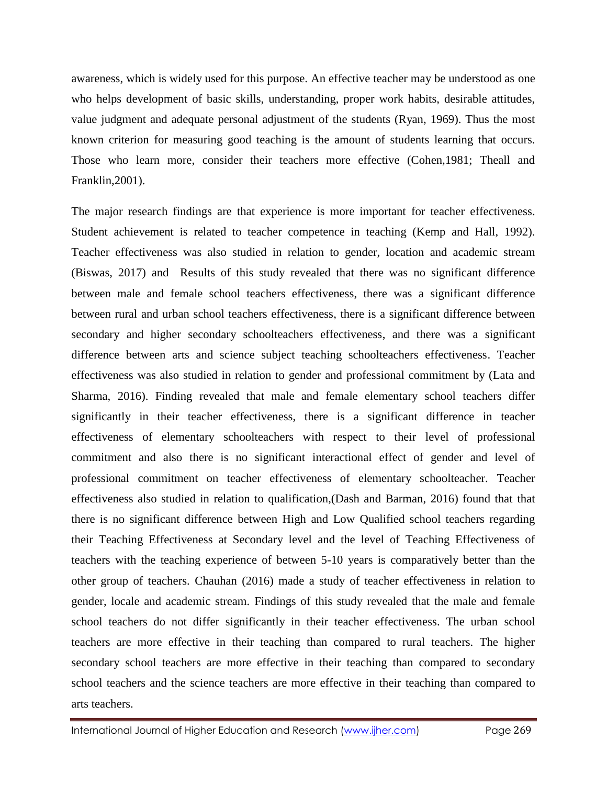awareness, which is widely used for this purpose. An effective teacher may be understood as one who helps development of basic skills, understanding, proper work habits, desirable attitudes, value judgment and adequate personal adjustment of the students (Ryan, 1969). Thus the most known criterion for measuring good teaching is the amount of students learning that occurs. Those who learn more, consider their teachers more effective (Cohen,1981; Theall and Franklin,2001).

The major research findings are that experience is more important for teacher effectiveness. Student achievement is related to teacher competence in teaching (Kemp and Hall, 1992). Teacher effectiveness was also studied in relation to gender, location and academic stream (Biswas, 2017) and Results of this study revealed that there was no significant difference between male and female school teachers effectiveness, there was a significant difference between rural and urban school teachers effectiveness, there is a significant difference between secondary and higher secondary schoolteachers effectiveness, and there was a significant difference between arts and science subject teaching schoolteachers effectiveness. Teacher effectiveness was also studied in relation to gender and professional commitment by (Lata and Sharma, 2016). Finding revealed that male and female elementary school teachers differ significantly in their teacher effectiveness, there is a significant difference in teacher effectiveness of elementary schoolteachers with respect to their level of professional commitment and also there is no significant interactional effect of gender and level of professional commitment on teacher effectiveness of elementary schoolteacher. Teacher effectiveness also studied in relation to qualification,(Dash and Barman, 2016) found that that there is no significant difference between High and Low Qualified school teachers regarding their Teaching Effectiveness at Secondary level and the level of Teaching Effectiveness of teachers with the teaching experience of between 5-10 years is comparatively better than the other group of teachers. Chauhan (2016) made a study of teacher effectiveness in relation to gender, locale and academic stream. Findings of this study revealed that the male and female school teachers do not differ significantly in their teacher effectiveness. The urban school teachers are more effective in their teaching than compared to rural teachers. The higher secondary school teachers are more effective in their teaching than compared to secondary school teachers and the science teachers are more effective in their teaching than compared to arts teachers.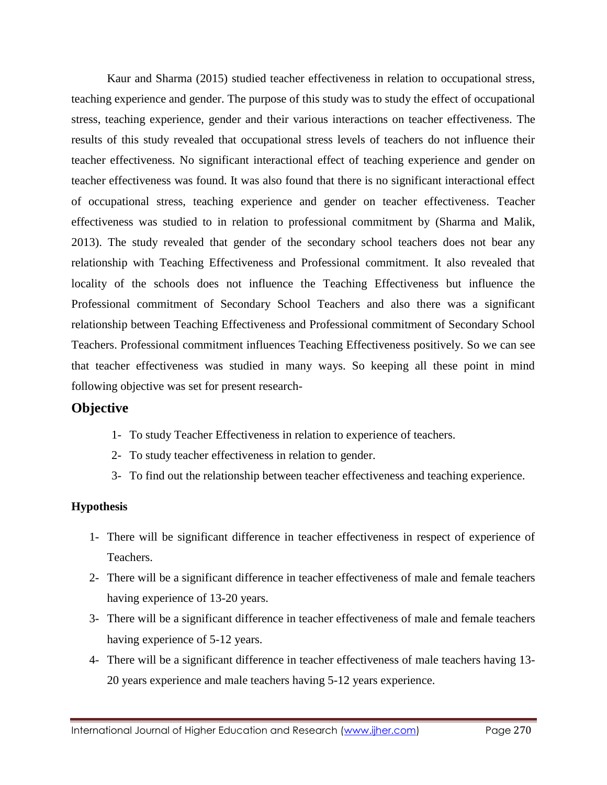Kaur and Sharma (2015) studied teacher effectiveness in relation to occupational stress, teaching experience and gender. The purpose of this study was to study the effect of occupational stress, teaching experience, gender and their various interactions on teacher effectiveness. The results of this study revealed that occupational stress levels of teachers do not influence their teacher effectiveness. No significant interactional effect of teaching experience and gender on teacher effectiveness was found. It was also found that there is no significant interactional effect of occupational stress, teaching experience and gender on teacher effectiveness. Teacher effectiveness was studied to in relation to professional commitment by (Sharma and Malik, 2013). The study revealed that gender of the secondary school teachers does not bear any relationship with Teaching Effectiveness and Professional commitment. It also revealed that locality of the schools does not influence the Teaching Effectiveness but influence the Professional commitment of Secondary School Teachers and also there was a significant relationship between Teaching Effectiveness and Professional commitment of Secondary School Teachers. Professional commitment influences Teaching Effectiveness positively. So we can see that teacher effectiveness was studied in many ways. So keeping all these point in mind following objective was set for present research-

### **Objective**

- 1- To study Teacher Effectiveness in relation to experience of teachers.
- 2- To study teacher effectiveness in relation to gender.
- 3- To find out the relationship between teacher effectiveness and teaching experience.

#### **Hypothesis**

- 1- There will be significant difference in teacher effectiveness in respect of experience of Teachers.
- 2- There will be a significant difference in teacher effectiveness of male and female teachers having experience of 13-20 years.
- 3- There will be a significant difference in teacher effectiveness of male and female teachers having experience of 5-12 years.
- 4- There will be a significant difference in teacher effectiveness of male teachers having 13- 20 years experience and male teachers having 5-12 years experience.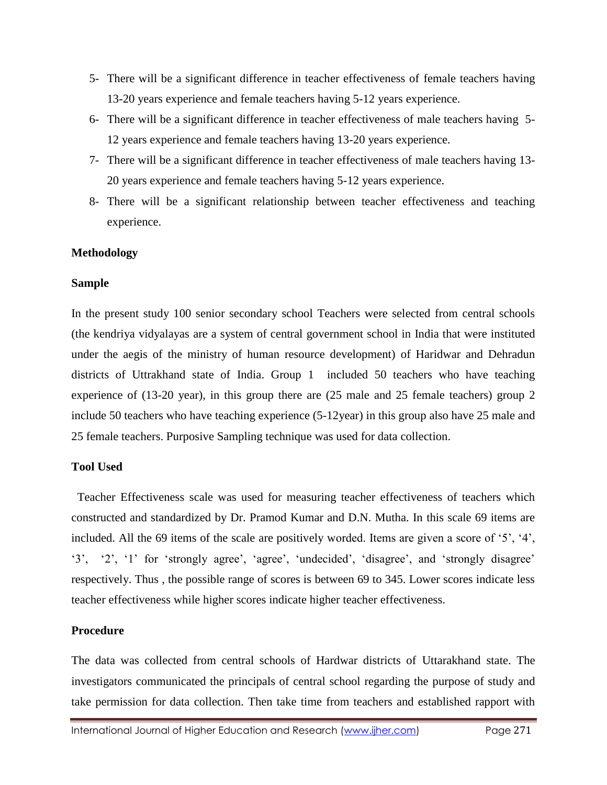- 5- There will be a significant difference in teacher effectiveness of female teachers having 13-20 years experience and female teachers having 5-12 years experience.
- 6- There will be a significant difference in teacher effectiveness of male teachers having 5- 12 years experience and female teachers having 13-20 years experience.
- 7- There will be a significant difference in teacher effectiveness of male teachers having 13- 20 years experience and female teachers having 5-12 years experience.
- 8- There will be a significant relationship between teacher effectiveness and teaching experience.

#### **Methodology**

#### **Sample**

In the present study 100 senior secondary school Teachers were selected from central schools (the kendriya vidyalayas are a system of central government school in India that were instituted under the aegis of the ministry of human resource development) of Haridwar and Dehradun districts of Uttrakhand state of India. Group 1 included 50 teachers who have teaching experience of (13-20 year), in this group there are (25 male and 25 female teachers) group 2 include 50 teachers who have teaching experience (5-12year) in this group also have 25 male and 25 female teachers. Purposive Sampling technique was used for data collection.

#### **Tool Used**

 Teacher Effectiveness scale was used for measuring teacher effectiveness of teachers which constructed and standardized by Dr. Pramod Kumar and D.N. Mutha. In this scale 69 items are included. All the 69 items of the scale are positively worded. Items are given a score of '5', '4', '3', '2', '1' for 'strongly agree', 'agree', 'undecided', 'disagree', and 'strongly disagree' respectively. Thus , the possible range of scores is between 69 to 345. Lower scores indicate less teacher effectiveness while higher scores indicate higher teacher effectiveness.

#### **Procedure**

The data was collected from central schools of Hardwar districts of Uttarakhand state. The investigators communicated the principals of central school regarding the purpose of study and take permission for data collection. Then take time from teachers and established rapport with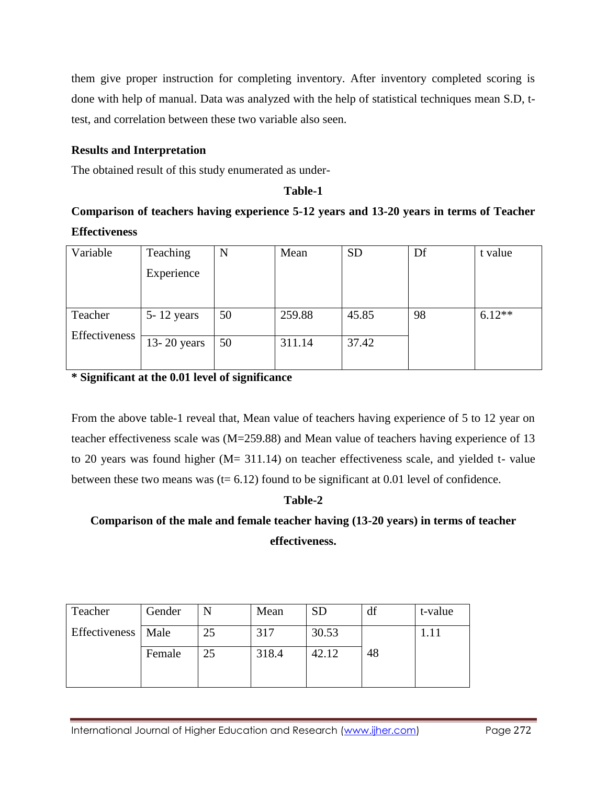them give proper instruction for completing inventory. After inventory completed scoring is done with help of manual. Data was analyzed with the help of statistical techniques mean S.D, ttest, and correlation between these two variable also seen.

### **Results and Interpretation**

The obtained result of this study enumerated as under-

#### **Table-1**

## **Comparison of teachers having experience 5-12 years and 13-20 years in terms of Teacher Effectiveness**

| Teaching       | N  | Mean   | <b>SD</b> | Df | t value  |
|----------------|----|--------|-----------|----|----------|
| Experience     |    |        |           |    |          |
|                |    |        |           |    |          |
| $5 - 12$ years | 50 | 259.88 | 45.85     | 98 | $6.12**$ |
|                |    |        |           |    |          |
| 13-20 years    | 50 | 311.14 | 37.42     |    |          |
|                |    |        |           |    |          |
|                |    |        |           |    |          |

**\* Significant at the 0.01 level of significance**

From the above table-1 reveal that, Mean value of teachers having experience of 5 to 12 year on teacher effectiveness scale was (M=259.88) and Mean value of teachers having experience of 13 to 20 years was found higher (M= 311.14) on teacher effectiveness scale, and yielded t- value between these two means was  $(t= 6.12)$  found to be significant at 0.01 level of confidence.

### **Table-2**

## **Comparison of the male and female teacher having (13-20 years) in terms of teacher effectiveness.**

| Teacher              | Gender |    | Mean  | <b>SD</b> | df | t-value |
|----------------------|--------|----|-------|-----------|----|---------|
| Effectiveness   Male |        | 25 | 317   | 30.53     |    |         |
|                      | Female | 25 | 318.4 | 42.12     | 48 |         |
|                      |        |    |       |           |    |         |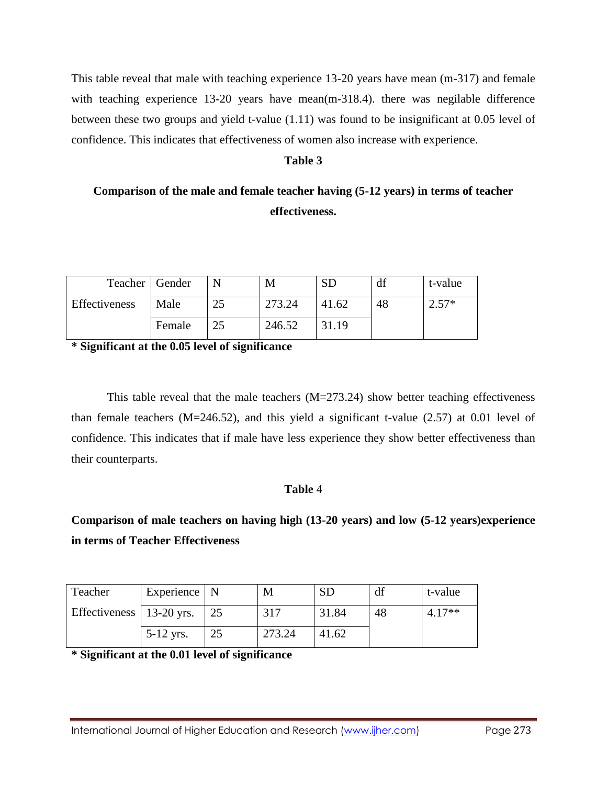This table reveal that male with teaching experience 13-20 years have mean (m-317) and female with teaching experience 13-20 years have mean(m-318.4). there was negilable difference between these two groups and yield t-value (1.11) was found to be insignificant at 0.05 level of confidence. This indicates that effectiveness of women also increase with experience.

#### **Table 3**

## **Comparison of the male and female teacher having (5-12 years) in terms of teacher effectiveness.**

| Teacher   Gender |        |    | M      |       | di | t-value       |
|------------------|--------|----|--------|-------|----|---------------|
| Effectiveness    | Male   | 25 | 273.24 | 41.62 | 48 | $\angle .57*$ |
|                  | Female |    | 246.52 | 31.19 |    |               |

**\* Significant at the 0.05 level of significance**

This table reveal that the male teachers  $(M=273.24)$  show better teaching effectiveness than female teachers  $(M=246.52)$ , and this yield a significant t-value  $(2.57)$  at 0.01 level of confidence. This indicates that if male have less experience they show better effectiveness than their counterparts.

#### **Table** 4

**Comparison of male teachers on having high (13-20 years) and low (5-12 years)experience in terms of Teacher Effectiveness**

| Teacher                    | Experience $\vert$ N |    | M      | <b>SD</b> |    | t-value  |
|----------------------------|----------------------|----|--------|-----------|----|----------|
| Effectiveness   13-20 yrs. |                      | 25 | 317    | 31.84     | 48 | $4.17**$ |
|                            | $5-12$ yrs.          | 25 | 273.24 | 41.62     |    |          |

**\* Significant at the 0.01 level of significance**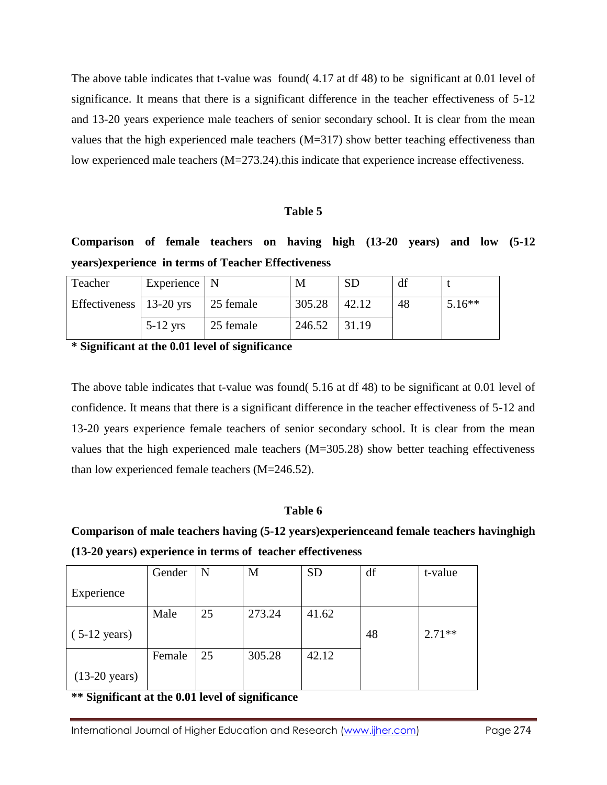The above table indicates that t-value was found( 4.17 at df 48) to be significant at 0.01 level of significance. It means that there is a significant difference in the teacher effectiveness of 5-12 and 13-20 years experience male teachers of senior secondary school. It is clear from the mean values that the high experienced male teachers (M=317) show better teaching effectiveness than low experienced male teachers (M=273.24).this indicate that experience increase effectiveness.

#### **Table 5**

## **Comparison of female teachers on having high (13-20 years) and low (5-12 years)experience in terms of Teacher Effectiveness**

| Teacher                         | Experience $\vert$ N |           | M      |       | df |          |
|---------------------------------|----------------------|-----------|--------|-------|----|----------|
| Effectiveness $\vert$ 13-20 yrs |                      | 25 female | 305.28 | 42.12 | 48 | $5.16**$ |
|                                 | $5-12$ yrs           | 25 female | 246.52 | 31.19 |    |          |

**\* Significant at the 0.01 level of significance**

The above table indicates that t-value was found( 5.16 at df 48) to be significant at 0.01 level of confidence. It means that there is a significant difference in the teacher effectiveness of 5-12 and 13-20 years experience female teachers of senior secondary school. It is clear from the mean values that the high experienced male teachers (M=305.28) show better teaching effectiveness than low experienced female teachers (M=246.52).

#### **Table 6**

**Comparison of male teachers having (5-12 years)experienceand female teachers havinghigh (13-20 years) experience in terms of teacher effectiveness**

|                         | Gender | N  | M      | <b>SD</b> | df | t-value  |
|-------------------------|--------|----|--------|-----------|----|----------|
| Experience              |        |    |        |           |    |          |
|                         | Male   | 25 | 273.24 | 41.62     |    |          |
| $(5-12 \text{ years})$  |        |    |        |           | 48 | $2.71**$ |
|                         | Female | 25 | 305.28 | 42.12     |    |          |
| $(13-20 \text{ years})$ |        |    |        |           |    |          |

**\*\* Significant at the 0.01 level of significance**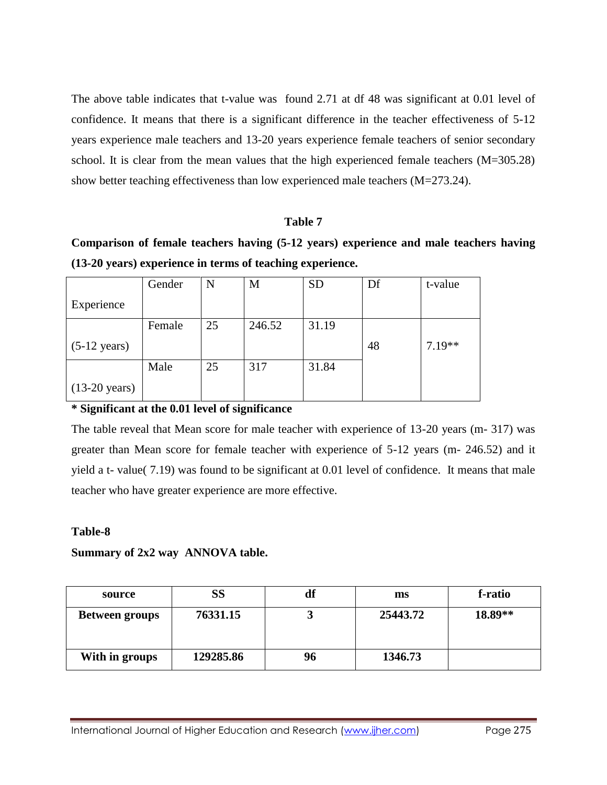The above table indicates that t-value was found 2.71 at df 48 was significant at 0.01 level of confidence. It means that there is a significant difference in the teacher effectiveness of 5-12 years experience male teachers and 13-20 years experience female teachers of senior secondary school. It is clear from the mean values that the high experienced female teachers (M=305.28) show better teaching effectiveness than low experienced male teachers (M=273.24).

#### **Table 7**

**Comparison of female teachers having (5-12 years) experience and male teachers having (13-20 years) experience in terms of teaching experience.**

|                         | Gender | N  | M      | <b>SD</b> | Df | t-value  |
|-------------------------|--------|----|--------|-----------|----|----------|
| Experience              |        |    |        |           |    |          |
|                         | Female | 25 | 246.52 | 31.19     |    |          |
| $(5-12 \text{ years})$  |        |    |        |           | 48 | $7.19**$ |
|                         | Male   | 25 | 317    | 31.84     |    |          |
| $(13-20 \text{ years})$ |        |    |        |           |    |          |

#### **\* Significant at the 0.01 level of significance**

The table reveal that Mean score for male teacher with experience of 13-20 years (m- 317) was greater than Mean score for female teacher with experience of 5-12 years (m- 246.52) and it yield a t- value( 7.19) was found to be significant at 0.01 level of confidence. It means that male teacher who have greater experience are more effective.

#### **Table-8**

#### **Summary of 2x2 way ANNOVA table.**

| source                | SS        | df | ms       | f-ratio |
|-----------------------|-----------|----|----------|---------|
| <b>Between groups</b> | 76331.15  |    | 25443.72 | 18.89** |
| With in groups        | 129285.86 | 96 | 1346.73  |         |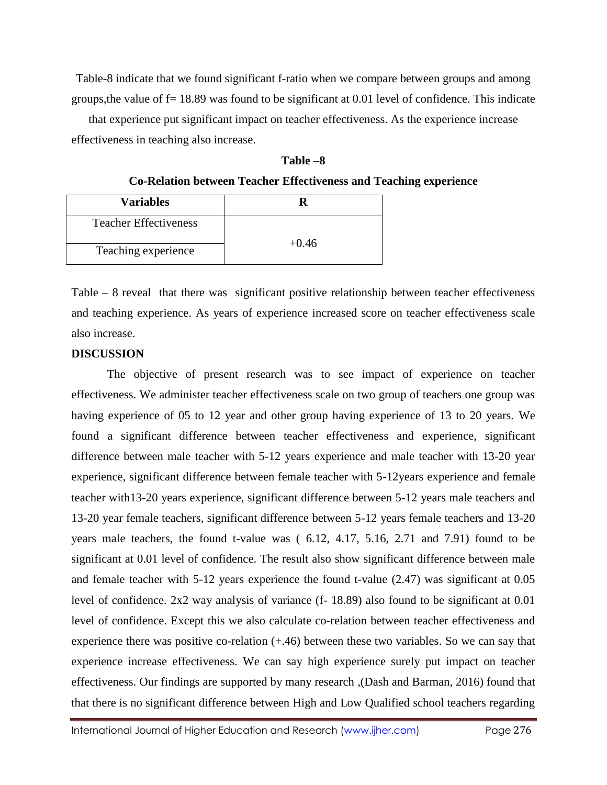Table-8 indicate that we found significant f-ratio when we compare between groups and among groups, the value of  $f = 18.89$  was found to be significant at 0.01 level of confidence. This indicate

that experience put significant impact on teacher effectiveness. As the experience increase effectiveness in teaching also increase.

| 'able | n |
|-------|---|
|-------|---|

**Co-Relation between Teacher Effectiveness and Teaching experience**

| <b>Variables</b>             |         |
|------------------------------|---------|
| <b>Teacher Effectiveness</b> | $+0.46$ |
| Teaching experience          |         |

Table – 8 reveal that there was significant positive relationship between teacher effectiveness and teaching experience. As years of experience increased score on teacher effectiveness scale also increase.

#### **DISCUSSION**

The objective of present research was to see impact of experience on teacher effectiveness. We administer teacher effectiveness scale on two group of teachers one group was having experience of 05 to 12 year and other group having experience of 13 to 20 years. We found a significant difference between teacher effectiveness and experience, significant difference between male teacher with 5-12 years experience and male teacher with 13-20 year experience, significant difference between female teacher with 5-12years experience and female teacher with13-20 years experience, significant difference between 5-12 years male teachers and 13-20 year female teachers, significant difference between 5-12 years female teachers and 13-20 years male teachers, the found t-value was ( 6.12, 4.17, 5.16, 2.71 and 7.91) found to be significant at 0.01 level of confidence. The result also show significant difference between male and female teacher with 5-12 years experience the found t-value (2.47) was significant at 0.05 level of confidence. 2x2 way analysis of variance (f- 18.89) also found to be significant at 0.01 level of confidence. Except this we also calculate co-relation between teacher effectiveness and experience there was positive co-relation  $(+.46)$  between these two variables. So we can say that experience increase effectiveness. We can say high experience surely put impact on teacher effectiveness. Our findings are supported by many research ,(Dash and Barman, 2016) found that that there is no significant difference between High and Low Qualified school teachers regarding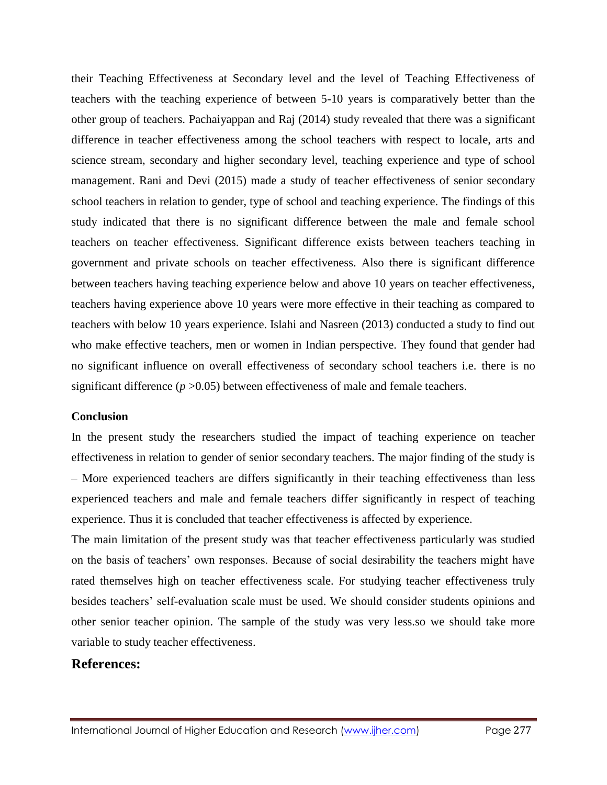their Teaching Effectiveness at Secondary level and the level of Teaching Effectiveness of teachers with the teaching experience of between 5-10 years is comparatively better than the other group of teachers. Pachaiyappan and Raj (2014) study revealed that there was a significant difference in teacher effectiveness among the school teachers with respect to locale, arts and science stream, secondary and higher secondary level, teaching experience and type of school management. Rani and Devi (2015) made a study of teacher effectiveness of senior secondary school teachers in relation to gender, type of school and teaching experience. The findings of this study indicated that there is no significant difference between the male and female school teachers on teacher effectiveness. Significant difference exists between teachers teaching in government and private schools on teacher effectiveness. Also there is significant difference between teachers having teaching experience below and above 10 years on teacher effectiveness, teachers having experience above 10 years were more effective in their teaching as compared to teachers with below 10 years experience. Islahi and Nasreen (2013) conducted a study to find out who make effective teachers, men or women in Indian perspective. They found that gender had no significant influence on overall effectiveness of secondary school teachers i.e. there is no significant difference (*p* >0.05) between effectiveness of male and female teachers.

#### **Conclusion**

In the present study the researchers studied the impact of teaching experience on teacher effectiveness in relation to gender of senior secondary teachers. The major finding of the study is – More experienced teachers are differs significantly in their teaching effectiveness than less experienced teachers and male and female teachers differ significantly in respect of teaching experience. Thus it is concluded that teacher effectiveness is affected by experience.

The main limitation of the present study was that teacher effectiveness particularly was studied on the basis of teachers' own responses. Because of social desirability the teachers might have rated themselves high on teacher effectiveness scale. For studying teacher effectiveness truly besides teachers' self-evaluation scale must be used. We should consider students opinions and other senior teacher opinion. The sample of the study was very less.so we should take more variable to study teacher effectiveness.

#### **References:**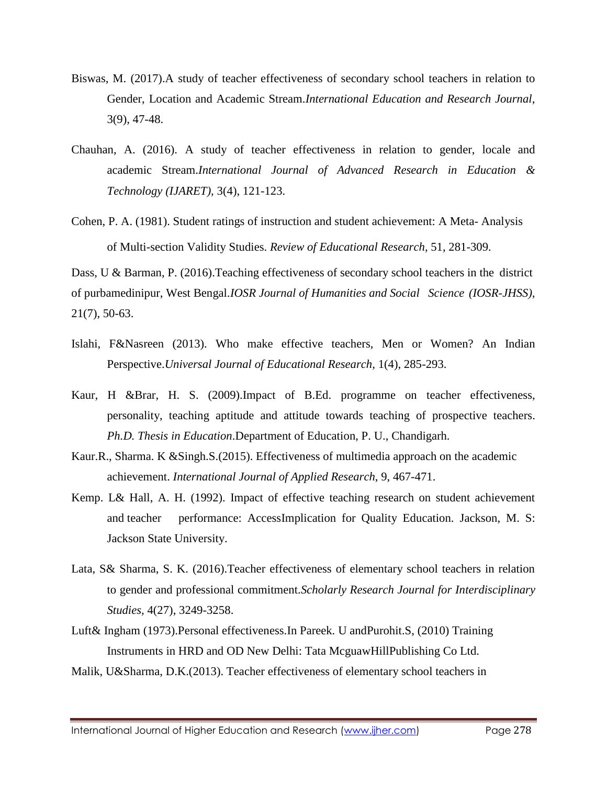- Biswas, M. (2017).A study of teacher effectiveness of secondary school teachers in relation to Gender, Location and Academic Stream.*International Education and Research Journal,*  3(9), 47-48.
- Chauhan, A. (2016). A study of teacher effectiveness in relation to gender, locale and academic Stream.*International Journal of Advanced Research in Education & Technology (IJARET),* 3(4), 121-123.
- Cohen, P. A. (1981). Student ratings of instruction and student achievement: A Meta- Analysis of Multi-section Validity Studies. *Review of Educational Research,* 51, 281-309.

Dass, U & Barman, P. (2016). Teaching effectiveness of secondary school teachers in the district of purbamedinipur, West Bengal.*IOSR Journal of Humanities and Social Science (IOSR-JHSS),*  21(7), 50-63.

- Islahi, F&Nasreen (2013). Who make effective teachers, Men or Women? An Indian Perspective.*Universal Journal of Educational Research,* 1(4), 285-293.
- Kaur, H &Brar, H. S. (2009).Impact of B.Ed. programme on teacher effectiveness, personality, teaching aptitude and attitude towards teaching of prospective teachers. *Ph.D. Thesis in Education*.Department of Education, P. U., Chandigarh.
- Kaur.R., Sharma. K &Singh.S.(2015). Effectiveness of multimedia approach on the academic achievement. *International Journal of Applied Research*, 9, 467-471.
- Kemp. L& Hall, A. H. (1992). Impact of effective teaching research on student achievement and teacher performance: AccessImplication for Quality Education. Jackson, M. S: Jackson State University.
- Lata, S& Sharma, S. K. (2016).Teacher effectiveness of elementary school teachers in relation to gender and professional commitment.*Scholarly Research Journal for Interdisciplinary Studies,* 4(27), 3249-3258.
- Luft& Ingham (1973).Personal effectiveness.In Pareek. U andPurohit.S, (2010) Training Instruments in HRD and OD New Delhi: Tata McguawHillPublishing Co Ltd.
- Malik, U&Sharma, D.K.(2013). Teacher effectiveness of elementary school teachers in